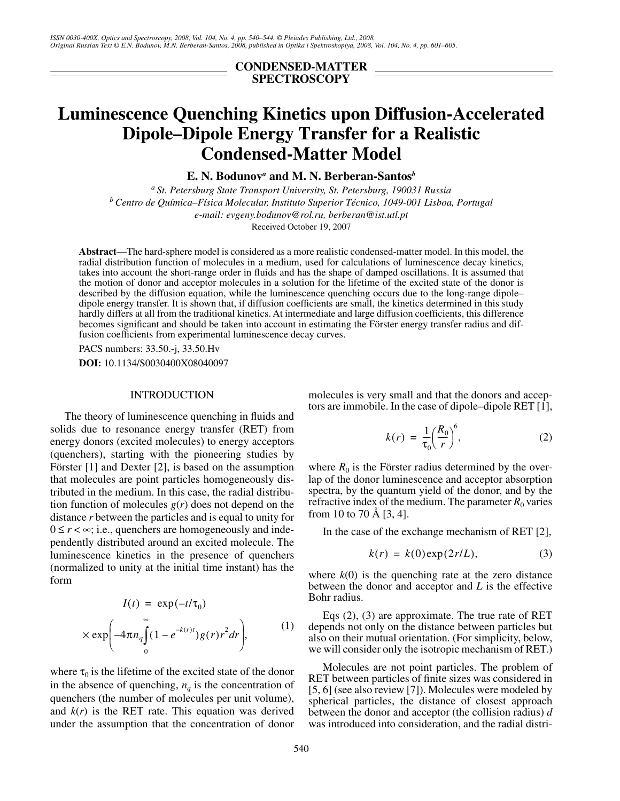**CONDENSED-MATTER SPECTROSCOPY**

# **Luminescence Quenching Kinetics upon Diffusion-Accelerated Dipole–Dipole Energy Transfer for a Realistic Condensed-Matter Model**

**E. N. Bodunov***<sup>a</sup>*  **and M. N. Berberan-Santos***<sup>b</sup>*

*a St. Petersburg State Transport University, St. Petersburg, 190031 Russia b Centro de Química–Física Molecular, Instituto Superior Técnico, 1049-001 Lisboa, Portugal e-mail: evgeny.bodunov@rol.ru, berberan@ist.utl.pt* Received October 19, 2007

**Abstract**—The hard-sphere model is considered as a more realistic condensed-matter model. In this model, the radial distribution function of molecules in a medium, used for calculations of luminescence decay kinetics, takes into account the short-range order in fluids and has the shape of damped oscillations. It is assumed that the motion of donor and acceptor molecules in a solution for the lifetime of the excited state of the donor is described by the diffusion equation, while the luminescence quenching occurs due to the long-range dipole– dipole energy transfer. It is shown that, if diffusion coefficients are small, the kinetics determined in this study hardly differs at all from the traditional kinetics. At intermediate and large diffusion coefficients, this difference becomes significant and should be taken into account in estimating the Förster energy transfer radius and diffusion coefficients from experimental luminescence decay curves.

PACS numbers: 33.50.-j, 33.50.Hv **DOI:** 10.1134/S0030400X08040097

#### INTRODUCTION

The theory of luminescence quenching in fluids and solids due to resonance energy transfer (RET) from energy donors (excited molecules) to energy acceptors (quenchers), starting with the pioneering studies by Förster [1] and Dexter [2], is based on the assumption that molecules are point particles homogeneously distributed in the medium. In this case, the radial distribution function of molecules *g*(*r*) does not depend on the distance *r* between the particles and is equal to unity for  $0 \le r < \infty$ ; i.e., quenchers are homogeneously and independently distributed around an excited molecule. The luminescence kinetics in the presence of quenchers (normalized to unity at the initial time instant) has the form

$$
I(t) = \exp(-t/\tau_0)
$$
  
 
$$
\times \exp\left(-4\pi n_q \int_0^\infty (1 - e^{-k(r)t}) g(r) r^2 dr\right),
$$
 (1)

where  $\tau_0$  is the lifetime of the excited state of the donor in the absence of quenching,  $n_q$  is the concentration of quenchers (the number of molecules per unit volume), and  $k(r)$  is the RET rate. This equation was derived under the assumption that the concentration of donor molecules is very small and that the donors and acceptors are immobile. In the case of dipole–dipole RET [1],

$$
k(r) = \frac{1}{\tau_0} \left(\frac{R_0}{r}\right)^6, \tag{2}
$$

where  $R_0$  is the Förster radius determined by the overlap of the donor luminescence and acceptor absorption spectra, by the quantum yield of the donor, and by the refractive index of the medium. The parameter  $R_0$  varies from 10 to 70 Å [3, 4].

In the case of the exchange mechanism of RET [2],

$$
k(r) = k(0) \exp(2r/L), \tag{3}
$$

where  $k(0)$  is the quenching rate at the zero distance between the donor and acceptor and *L* is the effective Bohr radius.

Eqs (2), (3) are approximate. The true rate of RET depends not only on the distance between particles but also on their mutual orientation. (For simplicity, below, we will consider only the isotropic mechanism of RET.)

Molecules are not point particles. The problem of RET between particles of finite sizes was considered in [5, 6] (see also review [7]). Molecules were modeled by spherical particles, the distance of closest approach between the donor and acceptor (the collision radius) *d* was introduced into consideration, and the radial distri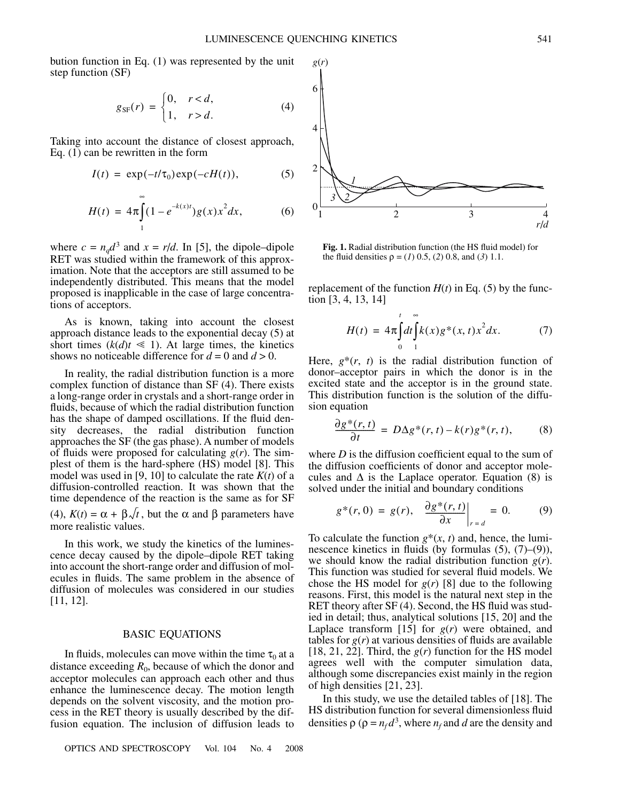bution function in Eq. (1) was represented by the unit step function (SF)

$$
g_{\rm SF}(r) = \begin{cases} 0, & r < d, \\ 1, & r > d. \end{cases} \tag{4}
$$

Taking into account the distance of closest approach, Eq. (1) can be rewritten in the form

$$
I(t) = \exp(-t/\tau_0) \exp(-cH(t)), \tag{5}
$$

$$
H(t) = 4\pi \int_{1}^{\infty} (1 - e^{-k(x)t}) g(x) x^2 dx,
$$
 (6)

where  $c = n_q d^3$  and  $x = r/d$ . In [5], the dipole–dipole RET was studied within the framework of this approximation. Note that the acceptors are still assumed to be independently distributed. This means that the model proposed is inapplicable in the case of large concentrations of acceptors.

As is known, taking into account the closest approach distance leads to the exponential decay (5) at short times ( $k(d)t \le 1$ ). At large times, the kinetics shows no noticeable difference for  $d = 0$  and  $d > 0$ .

In reality, the radial distribution function is a more complex function of distance than SF (4). There exists a long-range order in crystals and a short-range order in fluids, because of which the radial distribution function has the shape of damped oscillations. If the fluid density decreases, the radial distribution function approaches the SF (the gas phase). A number of models of fluids were proposed for calculating *g*(*r*). The simplest of them is the hard-sphere (HS) model [8]. This model was used in [9, 10] to calculate the rate  $K(t)$  of a diffusion-controlled reaction. It was shown that the time dependence of the reaction is the same as for SF (4),  $K(t) = \alpha + \beta \sqrt{t}$ , but the  $\alpha$  and  $\beta$  parameters have more realistic values.

In this work, we study the kinetics of the luminescence decay caused by the dipole–dipole RET taking into account the short-range order and diffusion of molecules in fluids. The same problem in the absence of diffusion of molecules was considered in our studies [11, 12].

## BASIC EQUATIONS

In fluids, molecules can move within the time  $\tau_0$  at a distance exceeding  $R_0$ , because of which the donor and acceptor molecules can approach each other and thus enhance the luminescence decay. The motion length depends on the solvent viscosity, and the motion process in the RET theory is usually described by the diffusion equation. The inclusion of diffusion leads to



**Fig. 1.** Radial distribution function (the HS fluid model) for the fluid densities  $\rho = (1) 0.5, (2) 0.8,$  and (3) 1.1.

replacement of the function  $H(t)$  in Eq. (5) by the function [3, 4, 13, 14]

$$
H(t) = 4\pi \int_{0}^{t} dt \int_{1}^{\infty} k(x) g^{*}(x, t) x^{2} dx.
$$
 (7)

Here,  $g^*(r, t)$  is the radial distribution function of donor–acceptor pairs in which the donor is in the excited state and the acceptor is in the ground state. This distribution function is the solution of the diffusion equation

$$
\frac{\partial g^*(r,t)}{\partial t} = D\Delta g^*(r,t) - k(r)g^*(r,t),\tag{8}
$$

where  $D$  is the diffusion coefficient equal to the sum of the diffusion coefficients of donor and acceptor molecules and  $\Delta$  is the Laplace operator. Equation (8) is solved under the initial and boundary conditions

$$
g^*(r,0) = g(r), \quad \frac{\partial g^*(r,t)}{\partial x}\bigg|_{r=d} = 0. \tag{9}
$$

To calculate the function  $g^*(x, t)$  and, hence, the luminescence kinetics in fluids (by formulas  $(5)$ ,  $(7)$ – $(9)$ ), we should know the radial distribution function *g*(*r*). This function was studied for several fluid models. We chose the HS model for  $g(r)$  [8] due to the following reasons. First, this model is the natural next step in the RET theory after SF (4). Second, the HS fluid was studied in detail; thus, analytical solutions [15, 20] and the Laplace transform [15] for *g*(*r*) were obtained, and tables for  $g(r)$  at various densities of fluids are available [18, 21, 22]. Third, the  $g(r)$  function for the HS model agrees well with the computer simulation data, although some discrepancies exist mainly in the region of high densities [21, 23].

In this study, we use the detailed tables of [18]. The HS distribution function for several dimensionless fluid densities  $\rho$  ( $\rho = n_f d^3$ , where  $n_f$  and *d* are the density and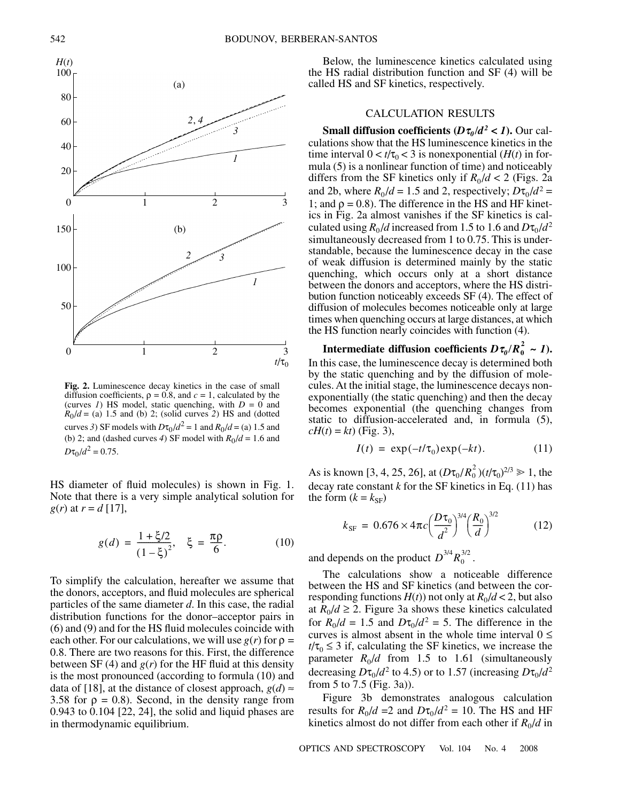

**Fig. 2.** Luminescence decay kinetics in the case of small diffusion coefficients,  $\rho = 0.8$ , and  $c = 1$ , calculated by the (curves  $I$ ) HS model, static quenching, with  $D = 0$  and  $R_0/d =$  (a) 1.5 and (b) 2; (solid curves 2) HS and (dotted curves 3) SF models with  $D\tau_0/d^2 = 1$  and  $R_0/d = (a) 1.5$  and (b) 2; and (dashed curves 4) SF model with  $R_0/d = 1.6$  and  $D\tau_0/d^2 = 0.75$ .

HS diameter of fluid molecules) is shown in Fig. 1. Note that there is a very simple analytical solution for *g*(*r*) at  $r = d$  [17],

$$
g(d) = \frac{1 + \xi/2}{(1 - \xi)^2}, \quad \xi = \frac{\pi \rho}{6}.
$$
 (10)

To simplify the calculation, hereafter we assume that the donors, acceptors, and fluid molecules are spherical particles of the same diameter *d*. In this case, the radial distribution functions for the donor–acceptor pairs in (6) and (9) and for the HS fluid molecules coincide with each other. For our calculations, we will use  $g(r)$  for  $\rho =$ 0.8. There are two reasons for this. First, the difference between SF (4) and  $g(r)$  for the HF fluid at this density is the most pronounced (according to formula (10) and data of [18], at the distance of closest approach,  $g(d) \approx$ 3.58 for  $\rho = 0.8$ ). Second, in the density range from 0.943 to 0.104 [22, 24], the solid and liquid phases are in thermodynamic equilibrium.

Below, the luminescence kinetics calculated using the HS radial distribution function and SF (4) will be called HS and SF kinetics, respectively.

# CALCULATION RESULTS

**Small diffusion coefficients (** $D\tau_0/d^2 < 1$ **). Our cal**culations show that the HS luminescence kinetics in the time interval  $0 < t/\tau_0 < 3$  is nonexponential (*H*(*t*) in formula (5) is a nonlinear function of time) and noticeably differs from the SF kinetics only if  $R_0/d < 2$  (Figs. 2a and 2b, where  $R_0/d = 1.5$  and 2, respectively;  $D\tau_0/d^2 =$ 1; and  $\rho = 0.8$ ). The difference in the HS and HF kinetics in Fig. 2a almost vanishes if the SF kinetics is calculated using  $R_0 / d$  increased from 1.5 to 1.6 and  $D\tau_0 / d^2$ simultaneously decreased from 1 to 0.75. This is understandable, because the luminescence decay in the case of weak diffusion is determined mainly by the static quenching, which occurs only at a short distance between the donors and acceptors, where the HS distribution function noticeably exceeds SF (4). The effect of diffusion of molecules becomes noticeable only at large times when quenching occurs at large distances, at which the HS function nearly coincides with function (4).

Intermediate diffusion coefficients  $D\tau_0/R_0^2 \sim I$ ). In this case, the luminescence decay is determined both by the static quenching and by the diffusion of molecules. At the initial stage, the luminescence decays nonexponentially (the static quenching) and then the decay becomes exponential (the quenching changes from static to diffusion-accelerated and, in formula (5),  $cH(t) = kt$  (Fig. 3),

$$
I(t) = \exp(-t/\tau_0) \exp(-kt). \tag{11}
$$

As is known [3, 4, 25, 26], at  $(D\tau_0/R_0^2)(t/\tau_0)^{2/3} \ge 1$ , the decay rate constant  $k$  for the SF kinetics in Eq.  $(11)$  has the form  $(k = k_{SF})$ 

$$
k_{\rm SF} = 0.676 \times 4\pi c \left(\frac{D\tau_0}{d^2}\right)^{3/4} \left(\frac{R_0}{d}\right)^{3/2} \tag{12}
$$

and depends on the product  $D^{3/4}R_0^{3/2}$ .

The calculations show a noticeable difference between the HS and SF kinetics (and between the corresponding functions  $H(t)$  not only at  $R_0/d < 2$ , but also at  $R_0/d \geq 2$ . Figure 3a shows these kinetics calculated for  $R_0/d = 1.5$  and  $D\tau_0/d^2 = 5$ . The difference in the curves is almost absent in the whole time interval  $0 \le$  $t/\tau_0 \leq 3$  if, calculating the SF kinetics, we increase the parameter  $R_0/d$  from 1.5 to 1.61 (simultaneously decreasing  $D\tau_0/d^2$  to 4.5) or to 1.57 (increasing  $D\tau_0/d^2$ from 5 to 7.5 (Fig. 3a)).

Figure 3b demonstrates analogous calculation results for  $R_0/d = 2$  and  $D\tau_0/d^2 = 10$ . The HS and HF kinetics almost do not differ from each other if  $R_0/d$  in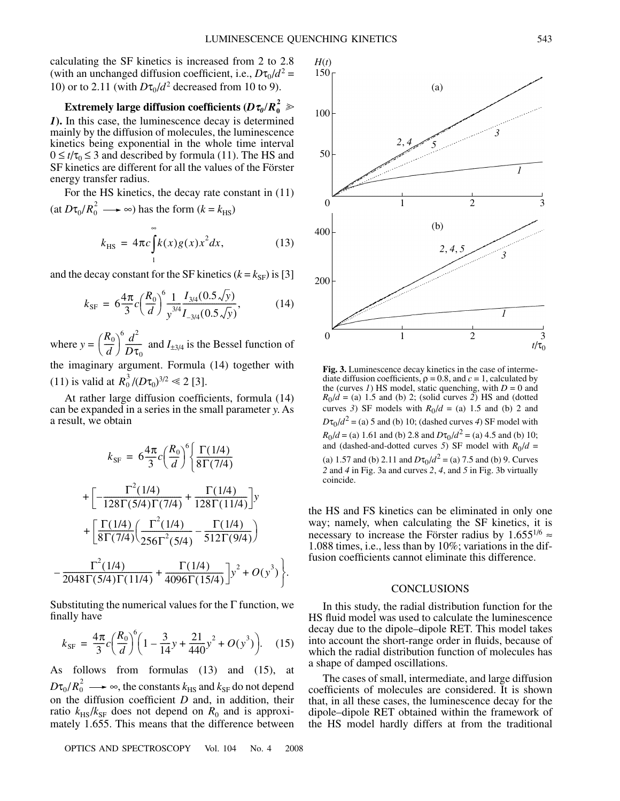.

calculating the SF kinetics is increased from 2 to 2.8 (with an unchanged diffusion coefficient, i.e.,  $D\tau_0/d^2$  = 10) or to 2.11 (with  $D\tau_0/d^2$  decreased from 10 to 9).

Extremely large diffusion coefficients ( $D\tau_{\textit{0}}/R_{\textit{0}}^{\textit{2}}$   $\gg$ *1***).** In this case, the luminescence decay is determined mainly by the diffusion of molecules, the luminescence kinetics being exponential in the whole time interval  $0 \le t/\tau_0 \le 3$  and described by formula (11). The HS and SF kinetics are different for all the values of the Förster energy transfer radius.

For the HS kinetics, the decay rate constant in (11)  $(\text{at } D\tau_0/R_0^2 \longrightarrow \infty)$  has the form  $(k = k_{\text{HS}})$ 

$$
k_{\rm HS} = 4\pi c \int_{1}^{\infty} k(x)g(x)x^2 dx,
$$
 (13)

and the decay constant for the SF kinetics  $(k = k_{SF})$  is [3]

$$
k_{\rm SF} = 6 \frac{4\pi}{3} c \left(\frac{R_0}{d}\right)^6 \frac{1}{y^{3/4}} \frac{I_{3/4}(0.5\sqrt{y})}{I_{-3/4}(0.5\sqrt{y})},\tag{14}
$$

where  $y = \left(\frac{R_0}{d}\right)^6 \frac{d^2}{D\tau}$  and  $I_{\pm 3/4}$  is the Bessel function of the imaginary argument. Formula (14) together with  $\left(\frac{R_{0}}{d}\right)^{6}\frac{d^{2}}{D\tau_{0}}$ 

(11) is valid at  $R_0^3 / (D\tau_0)^{3/2} \ll 2$  [3].

At rather large diffusion coefficients, formula (14) can be expanded in a series in the small parameter *y*. As a result, we obtain

$$
k_{\rm SF} = 6 \frac{4\pi}{3} c \left(\frac{R_0}{d}\right)^6 \left\{ \frac{\Gamma(1/4)}{8\Gamma(7/4)} \right. \\
\left. + \left[ -\frac{\Gamma^2(1/4)}{128\Gamma(5/4)\Gamma(7/4)} + \frac{\Gamma(1/4)}{128\Gamma(11/4)} \right] y \right. \\
\left. + \left[ \frac{\Gamma(1/4)}{8\Gamma(7/4)} \left( \frac{\Gamma^2(1/4)}{256\Gamma^2(5/4)} - \frac{\Gamma(1/4)}{512\Gamma(9/4)} \right) \right. \\
\left. - \frac{\Gamma^2(1/4)}{2048\Gamma(5/4)\Gamma(11/4)} + \frac{\Gamma(1/4)}{4096\Gamma(15/4)} \right] y^2 + O(y^3) \right\}
$$

Substituting the numerical values for the  $\Gamma$  function, we finally have

$$
k_{\rm SF} = \frac{4\pi}{3}c\left(\frac{R_0}{d}\right)^6 \left(1 - \frac{3}{14}y + \frac{21}{440}y^2 + O(y^3)\right). \tag{15}
$$

As follows from formulas (13) and (15), at  $D\tau_0/R_0^2 \longrightarrow \infty$ , the constants  $k_{\rm HS}$  and  $k_{\rm SF}$  do not depend on the diffusion coefficient *D* and, in addition, their ratio  $k_{\text{H}S}/k_{\text{SF}}$  does not depend on  $R_0$  and is approximately 1.655. This means that the difference between

OPTICS AND SPECTROSCOPY Vol. 104 No. 4 2008



**Fig. 3.** Luminescence decay kinetics in the case of intermediate diffusion coefficients,  $\rho = 0.8$ , and  $c = 1$ , calculated by the (curves  $I$ ) HS model, static quenching, with  $D = 0$  and  $R_0/d =$  (a) 1.5 and (b) 2; (solid curves 2) HS and (dotted curves 3) SF models with  $R_0/d = (a)$  1.5 and (b) 2 and  $D\tau_0/d^2$  = (a) 5 and (b) 10; (dashed curves *4*) SF model with  $R_0/d =$  (a) 1.61 and (b) 2.8 and  $D\tau_0/d^2 =$  (a) 4.5 and (b) 10; and (dashed-and-dotted curves 5) SF model with  $R_0/d =$ (a) 1.57 and (b) 2.11 and  $D\tau_0/d^2 =$  (a) 7.5 and (b) 9. Curves *2* and *4* in Fig. 3a and curves *2*, *4*, and *5* in Fig. 3b virtually coincide.

the HS and FS kinetics can be eliminated in only one way; namely, when calculating the SF kinetics, it is necessary to increase the Förster radius by  $1.655^{1/6} \approx$ 1.088 times, i.e., less than by 10%; variations in the diffusion coefficients cannot eliminate this difference.

### **CONCLUSIONS**

In this study, the radial distribution function for the HS fluid model was used to calculate the luminescence decay due to the dipole–dipole RET. This model takes into account the short-range order in fluids, because of which the radial distribution function of molecules has a shape of damped oscillations.

The cases of small, intermediate, and large diffusion coefficients of molecules are considered. It is shown that, in all these cases, the luminescence decay for the dipole–dipole RET obtained within the framework of the HS model hardly differs at from the traditional